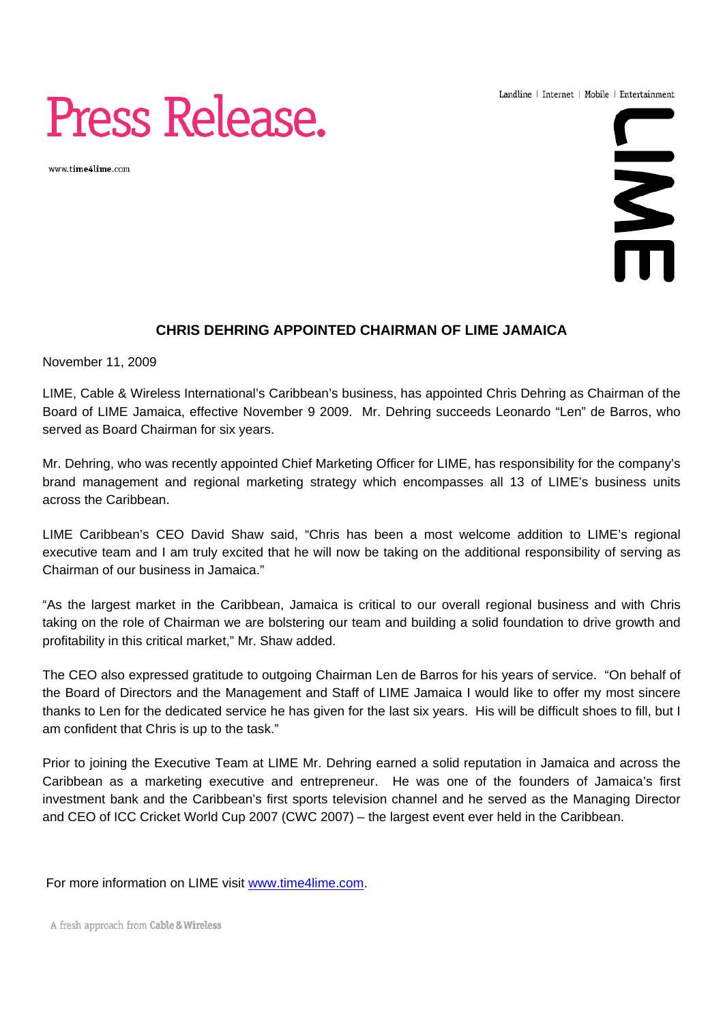Landline | Internet | Mobile | Entertainment

# Press Release.

www.time4lime.com



### **CHRIS DEHRING APPOINTED CHAIRMAN OF LIME JAMAICA**

November 11, 2009

LIME, Cable & Wireless International's Caribbean's business, has appointed Chris Dehring as Chairman of the Board of LIME Jamaica, effective November 9 2009. Mr. Dehring succeeds Leonardo "Len" de Barros, who served as Board Chairman for six years.

Mr. Dehring, who was recently appointed Chief Marketing Officer for LIME, has responsibility for the company's brand management and regional marketing strategy which encompasses all 13 of LIME's business units across the Caribbean.

LIME Caribbean's CEO David Shaw said, "Chris has been a most welcome addition to LIME's regional executive team and I am truly excited that he will now be taking on the additional responsibility of serving as Chairman of our business in Jamaica."

"As the largest market in the Caribbean, Jamaica is critical to our overall regional business and with Chris taking on the role of Chairman we are bolstering our team and building a solid foundation to drive growth and profitability in this critical market," Mr. Shaw added.

The CEO also expressed gratitude to outgoing Chairman Len de Barros for his years of service. "On behalf of the Board of Directors and the Management and Staff of LIME Jamaica I would like to offer my most sincere thanks to Len for the dedicated service he has given for the last six years. His will be difficult shoes to fill, but I am confident that Chris is up to the task."

Prior to joining the Executive Team at LIME Mr. Dehring earned a solid reputation in Jamaica and across the Caribbean as a marketing executive and entrepreneur. He was one of the founders of Jamaica's first investment bank and the Caribbean's first sports television channel and he served as the Managing Director and CEO of ICC Cricket World Cup 2007 (CWC 2007) – the largest event ever held in the Caribbean.

For more information on LIME visit www.time4lime.com.